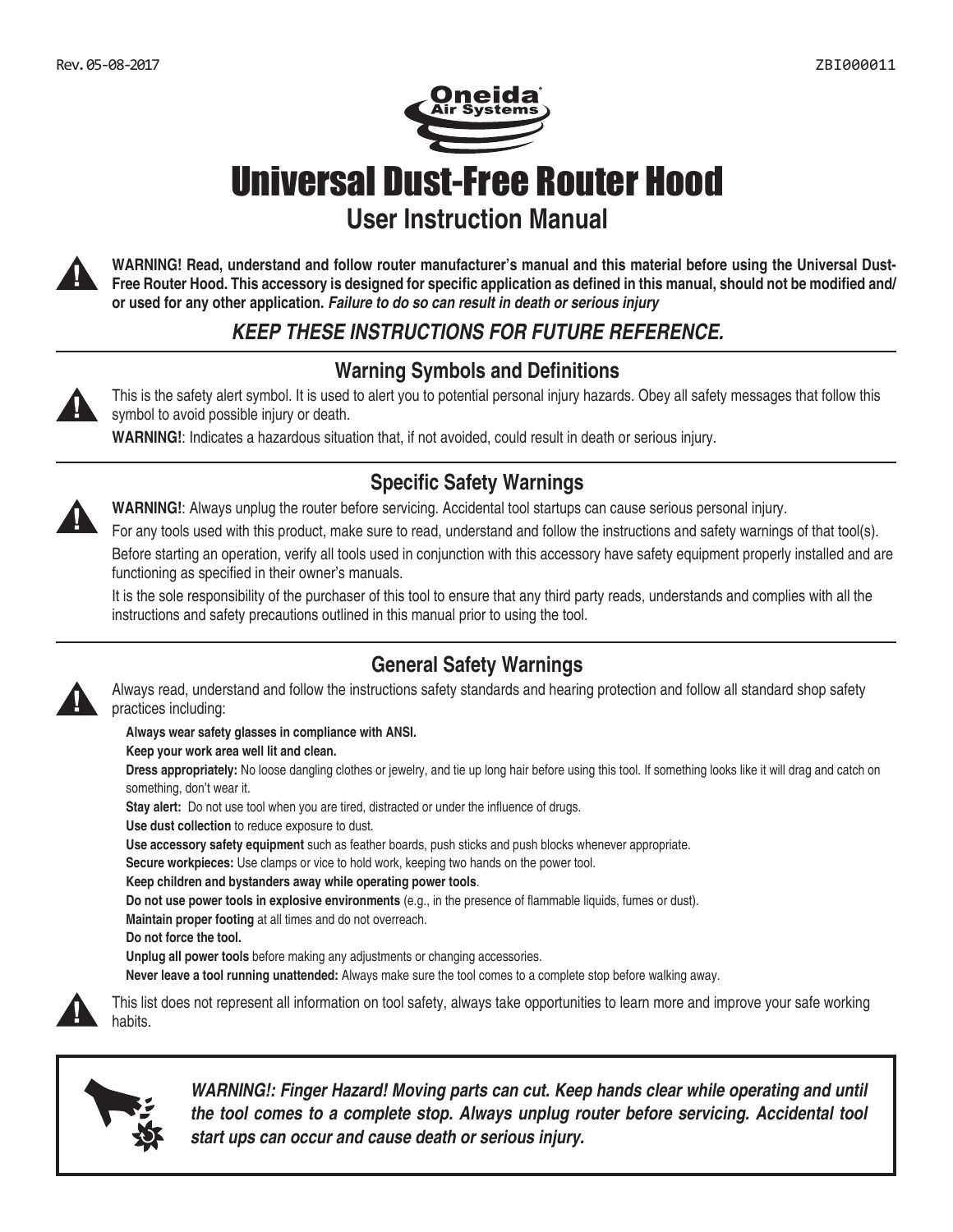

Universal Dust-Free Router Hood **User Instruction Manual**



**WARNING! Read, understand and follow router manufacturer's manual and this material before using the Universal Dust-Free Router Hood. This accessory is designed for specific application as defined in this manual, should not be modified and/ or used for any other application.** *Failure to do so can result in death or serious injury*

## *KEEP THESE INSTRUCTIONS FOR FUTURE REFERENCE.*

### **Warning Symbols and Definitions**

This is the safety alert symbol. It is used to alert you to potential personal injury hazards. Obey all safety messages that follow this symbol to avoid possible injury or death.

**WARNING!**: Indicates a hazardous situation that, if not avoided, could result in death or serious injury.

## **Specific Safety Warnings**



**WARNING!**: Always unplug the router before servicing. Accidental tool startups can cause serious personal injury.

For any tools used with this product, make sure to read, understand and follow the instructions and safety warnings of that tool(s).

Before starting an operation, verify all tools used in conjunction with this accessory have safety equipment properly installed and are functioning as specified in their owner's manuals.

It is the sole responsibility of the purchaser of this tool to ensure that any third party reads, understands and complies with all the instructions and safety precautions outlined in this manual prior to using the tool.

#### **General Safety Warnings** Always read, understand and follow the instructions safety standards and hearing protection and follow all standard shop safety



#### **Always wear safety glasses in compliance with ANSI.**

**Keep your work area well lit and clean.**

**Dress appropriately:** No loose dangling clothes or jewelry, and tie up long hair before using this tool. If something looks like it will drag and catch on something, don't wear it.

**Stay alert:** Do not use tool when you are tired, distracted or under the influence of drugs.

**Use dust collection** to reduce exposure to dust.

**Use accessory safety equipment** such as feather boards, push sticks and push blocks whenever appropriate.

**Secure workpieces:** Use clamps or vice to hold work, keeping two hands on the power tool.

- **Keep children and bystanders away while operating power tools**.
- **Do not use power tools in explosive environments** (e.g., in the presence of flammable liquids, fumes or dust).
- **Maintain proper footing** at all times and do not overreach.
- **Do not force the tool.**

**Unplug all power tools** before making any adjustments or changing accessories.

**Never leave a tool running unattended:** Always make sure the tool comes to a complete stop before walking away.



This list does not represent all information on tool safety, always take opportunities to learn more and improve your safe working habits.



*WARNING!: Finger Hazard! Moving parts can cut. Keep hands clear while operating and until the tool comes to a complete stop. Always unplug router before servicing. Accidental tool start ups can occur and cause death or serious injury.*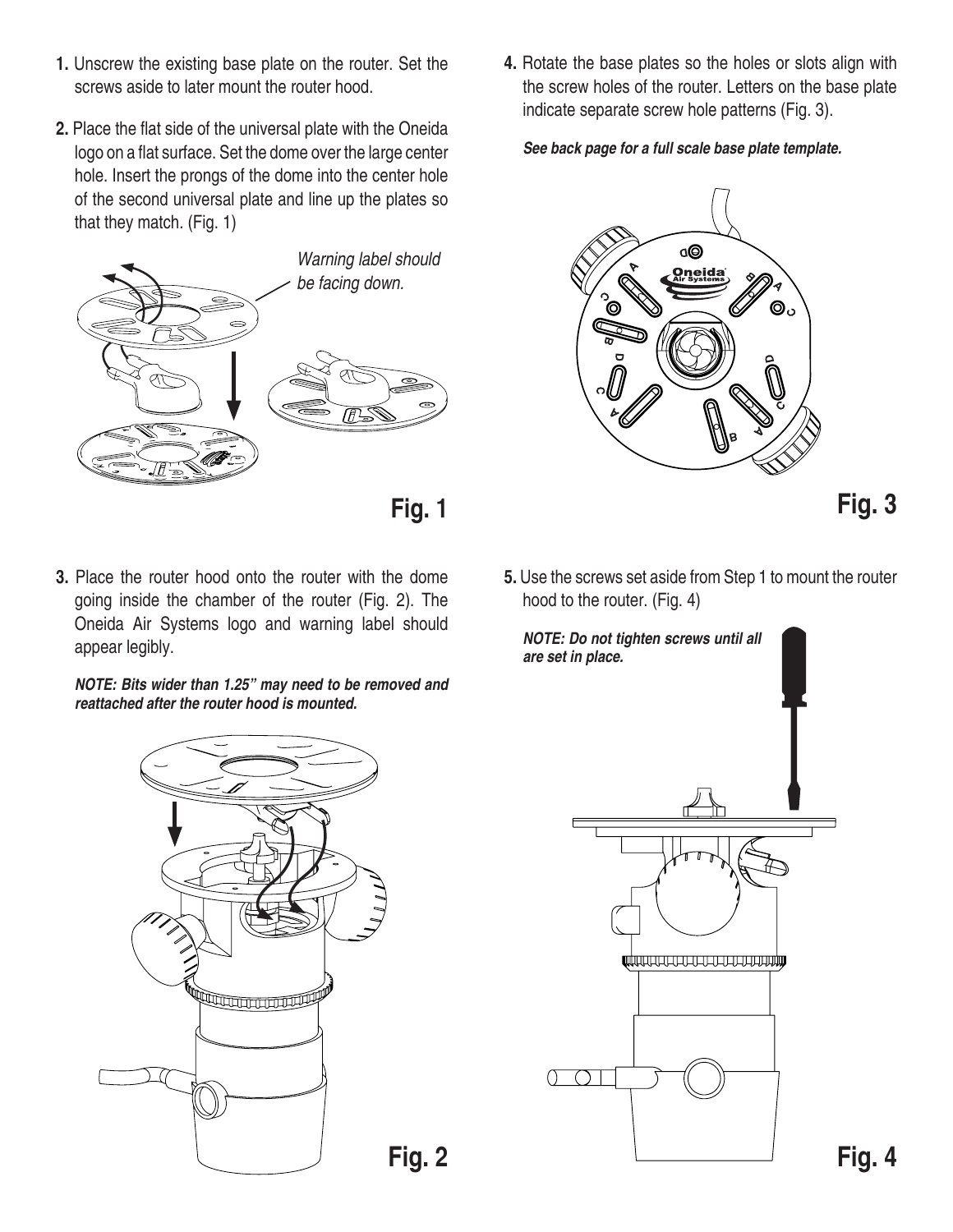- **1.** Unscrew the existing base plate on the router. Set the screws aside to later mount the router hood.
- **2.** Place the flat side of the universal plate with the Oneida logo on a flat surface. Set the dome over the large center hole. Insert the prongs of the dome into the center hole of the second universal plate and line up the plates so that they match. (Fig. 1)



**Fig. 1**

**3.** Place the router hood onto the router with the dome going inside the chamber of the router (Fig. 2). The Oneida Air Systems logo and warning label should appear legibly.

*NOTE: Bits wider than 1.25" may need to be removed and reattached after the router hood is mounted.*



*See back page for a full scale base plate template.*



**Fig. 3**

**5.** Use the screws set aside from Step 1 to mount the router hood to the router. (Fig. 4)



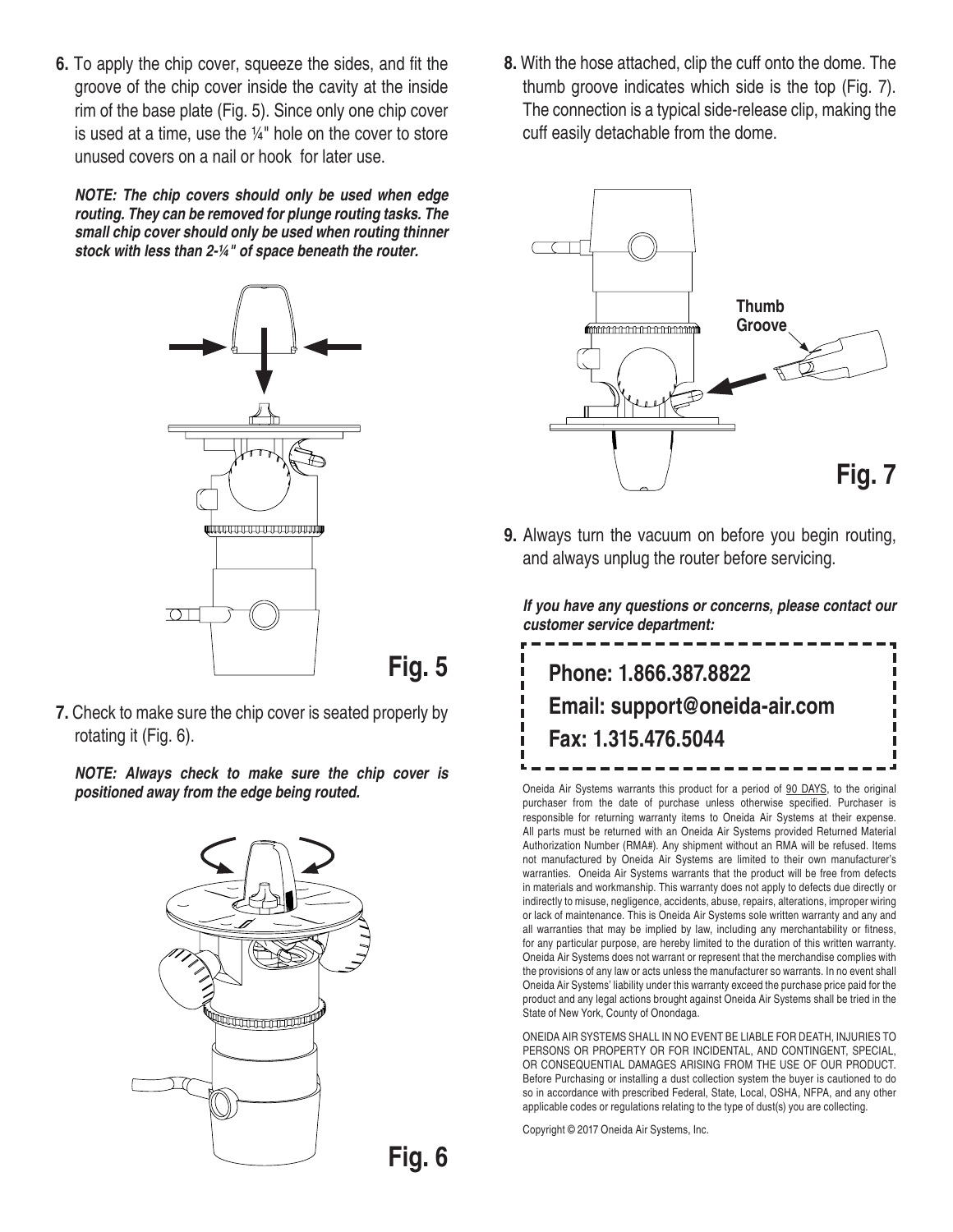**6.** To apply the chip cover, squeeze the sides, and fit the groove of the chip cover inside the cavity at the inside rim of the base plate (Fig. 5). Since only one chip cover is used at a time, use the  $\frac{1}{4}$ " hole on the cover to store unused covers on a nail or hook for later use.

*NOTE: The chip covers should only be used when edge routing. They can be removed for plunge routing tasks. The small chip cover should only be used when routing thinner stock with less than 2-¼" of space beneath the router.*



**7.** Check to make sure the chip cover is seated properly by rotating it (Fig. 6).

*NOTE: Always check to make sure the chip cover is positioned away from the edge being routed.*



**8.** With the hose attached, clip the cuff onto the dome. The thumb groove indicates which side is the top (Fig. 7). The connection is a typical side-release clip, making the cuff easily detachable from the dome.



**9.** Always turn the vacuum on before you begin routing, and always unplug the router before servicing.

*If you have any questions or concerns, please contact our customer service department:*



Oneida Air Systems warrants this product for a period of 90 DAYS, to the original purchaser from the date of purchase unless otherwise specified. Purchaser is responsible for returning warranty items to Oneida Air Systems at their expense. All parts must be returned with an Oneida Air Systems provided Returned Material Authorization Number (RMA#). Any shipment without an RMA will be refused. Items not manufactured by Oneida Air Systems are limited to their own manufacturer's warranties. Oneida Air Systems warrants that the product will be free from defects in materials and workmanship. This warranty does not apply to defects due directly or indirectly to misuse, negligence, accidents, abuse, repairs, alterations, improper wiring or lack of maintenance. This is Oneida Air Systems sole written warranty and any and all warranties that may be implied by law, including any merchantability or fitness, for any particular purpose, are hereby limited to the duration of this written warranty. Oneida Air Systems does not warrant or represent that the merchandise complies with the provisions of any law or acts unless the manufacturer so warrants. In no event shall Oneida Air Systems' liability under this warranty exceed the purchase price paid for the product and any legal actions brought against Oneida Air Systems shall be tried in the State of New York, County of Onondaga.

ONEIDA AIR SYSTEMS SHALL IN NO EVENT BE LIABLE FOR DEATH, INJURIES TO PERSONS OR PROPERTY OR FOR INCIDENTAL, AND CONTINGENT, SPECIAL, OR CONSEQUENTIAL DAMAGES ARISING FROM THE USE OF OUR PRODUCT. Before Purchasing or installing a dust collection system the buyer is cautioned to do so in accordance with prescribed Federal, State, Local, OSHA, NFPA, and any other applicable codes or regulations relating to the type of dust(s) you are collecting.

Copyright © 2017 Oneida Air Systems, Inc.